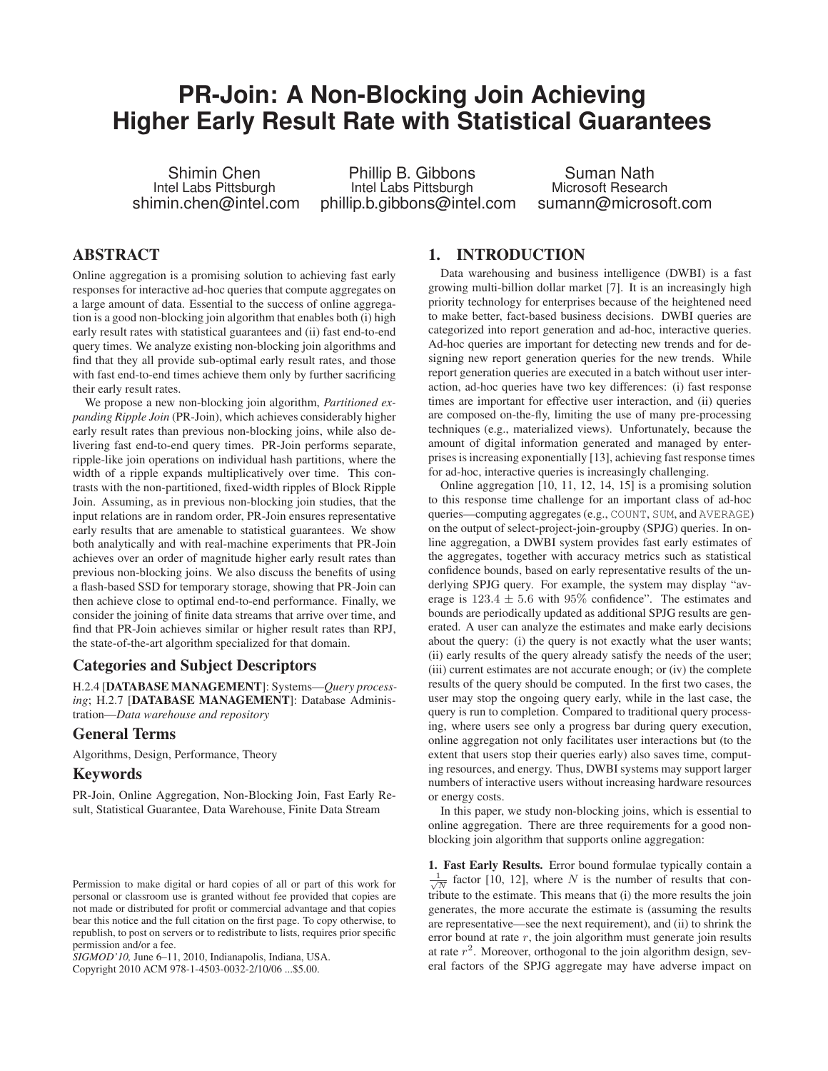# **PR-Join: A Non-Blocking Join Achieving Higher Early Result Rate with Statistical Guarantees**

Shimin Chen Intel Labs Pittsburgh shimin.chen@intel.com

Phillip B. Gibbons Intel Labs Pittsburgh phillip.b.gibbons@intel.com

Suman Nath Microsoft Research sumann@microsoft.com

# **ABSTRACT**

Online aggregation is a promising solution to achieving fast early responses for interactive ad-hoc queries that compute aggregates on a large amount of data. Essential to the success of online aggregation is a good non-blocking join algorithm that enables both (i) high early result rates with statistical guarantees and (ii) fast end-to-end query times. We analyze existing non-blocking join algorithms and find that they all provide sub-optimal early result rates, and those with fast end-to-end times achieve them only by further sacrificing their early result rates.

We propose a new non-blocking join algorithm, *Partitioned expanding Ripple Join* (PR-Join), which achieves considerably higher early result rates than previous non-blocking joins, while also delivering fast end-to-end query times. PR-Join performs separate, ripple-like join operations on individual hash partitions, where the width of a ripple expands multiplicatively over time. This contrasts with the non-partitioned, fixed-width ripples of Block Ripple Join. Assuming, as in previous non-blocking join studies, that the input relations are in random order, PR-Join ensures representative early results that are amenable to statistical guarantees. We show both analytically and with real-machine experiments that PR-Join achieves over an order of magnitude higher early result rates than previous non-blocking joins. We also discuss the benefits of using a flash-based SSD for temporary storage, showing that PR-Join can then achieve close to optimal end-to-end performance. Finally, we consider the joining of finite data streams that arrive over time, and find that PR-Join achieves similar or higher result rates than RPJ, the state-of-the-art algorithm specialized for that domain.

# **Categories and Subject Descriptors**

H.2.4 [**DATABASE MANAGEMENT**]: Systems—*Query processing*; H.2.7 [**DATABASE MANAGEMENT**]: Database Administration—*Data warehouse and repository*

### **General Terms**

Algorithms, Design, Performance, Theory

#### **Keywords**

PR-Join, Online Aggregation, Non-Blocking Join, Fast Early Result, Statistical Guarantee, Data Warehouse, Finite Data Stream

Copyright 2010 ACM 978-1-4503-0032-2/10/06 ...\$5.00.

# **1. INTRODUCTION**

Data warehousing and business intelligence (DWBI) is a fast growing multi-billion dollar market [7]. It is an increasingly high priority technology for enterprises because of the heightened need to make better, fact-based business decisions. DWBI queries are categorized into report generation and ad-hoc, interactive queries. Ad-hoc queries are important for detecting new trends and for designing new report generation queries for the new trends. While report generation queries are executed in a batch without user interaction, ad-hoc queries have two key differences: (i) fast response times are important for effective user interaction, and (ii) queries are composed on-the-fly, limiting the use of many pre-processing techniques (e.g., materialized views). Unfortunately, because the amount of digital information generated and managed by enterprises is increasing exponentially [13], achieving fast response times for ad-hoc, interactive queries is increasingly challenging.

Online aggregation [10, 11, 12, 14, 15] is a promising solution to this response time challenge for an important class of ad-hoc queries—computing aggregates (e.g., COUNT, SUM, and AVERAGE) on the output of select-project-join-groupby (SPJG) queries. In online aggregation, a DWBI system provides fast early estimates of the aggregates, together with accuracy metrics such as statistical confidence bounds, based on early representative results of the underlying SPJG query. For example, the system may display "average is  $123.4 \pm 5.6$  with  $95\%$  confidence". The estimates and bounds are periodically updated as additional SPJG results are generated. A user can analyze the estimates and make early decisions about the query: (i) the query is not exactly what the user wants; (ii) early results of the query already satisfy the needs of the user; (iii) current estimates are not accurate enough; or (iv) the complete results of the query should be computed. In the first two cases, the user may stop the ongoing query early, while in the last case, the query is run to completion. Compared to traditional query processing, where users see only a progress bar during query execution, online aggregation not only facilitates user interactions but (to the extent that users stop their queries early) also saves time, computing resources, and energy. Thus, DWBI systems may support larger numbers of interactive users without increasing hardware resources or energy costs.

In this paper, we study non-blocking joins, which is essential to online aggregation. There are three requirements for a good nonblocking join algorithm that supports online aggregation:

**1. Fast Early Results.** Error bound formulae typically contain a  $\frac{1}{\sqrt{N}}$  factor [10, 12], where N is the number of results that contribute to the estimate. This means that (i) the more results the join generates, the more accurate the estimate is (assuming the results are representative—see the next requirement), and (ii) to shrink the error bound at rate  $r$ , the join algorithm must generate join results at rate  $r^2$ . Moreover, orthogonal to the join algorithm design, several factors of the SPJG aggregate may have adverse impact on

Permission to make digital or hard copies of all or part of this work for personal or classroom use is granted without fee provided that copies are not made or distributed for profit or commercial advantage and that copies bear this notice and the full citation on the first page. To copy otherwise, to republish, to post on servers or to redistribute to lists, requires prior specific permission and/or a fee.

*SIGMOD'10,* June 6–11, 2010, Indianapolis, Indiana, USA.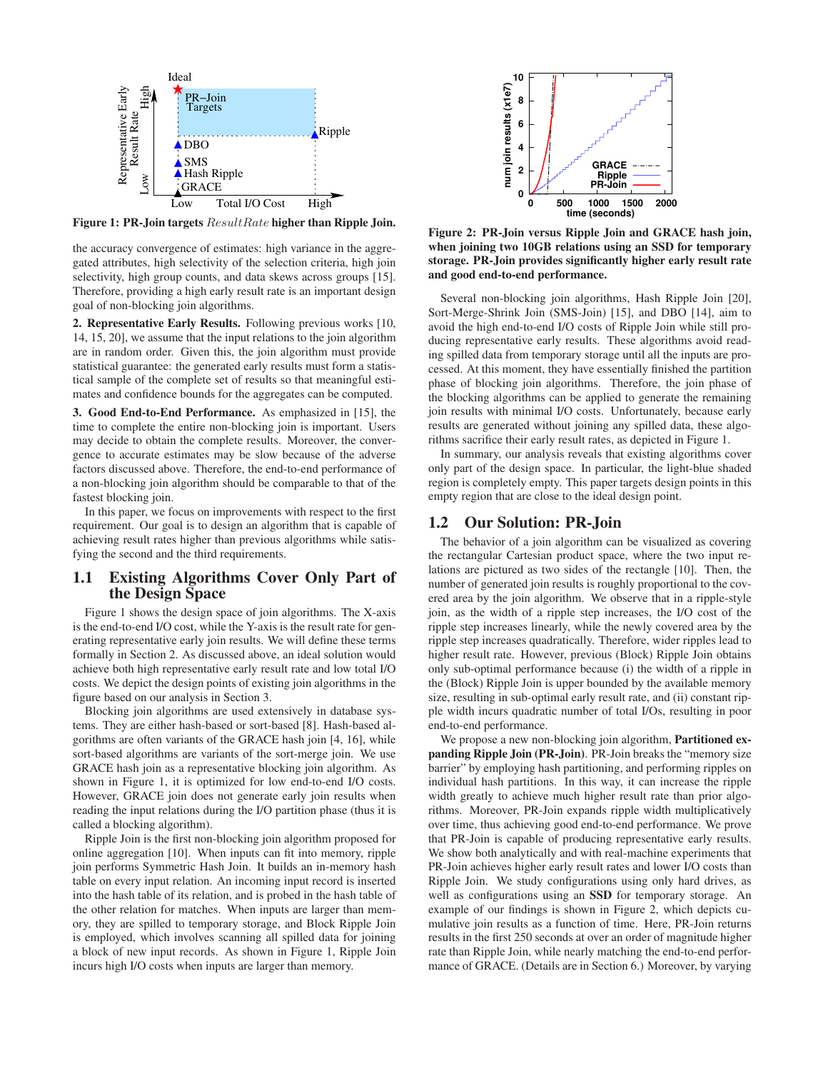

**Figure 1: PR-Join targets** ResultRate **higher than Ripple Join.**

the accuracy convergence of estimates: high variance in the aggregated attributes, high selectivity of the selection criteria, high join selectivity, high group counts, and data skews across groups [15]. Therefore, providing a high early result rate is an important design goal of non-blocking join algorithms.

**2. Representative Early Results.** Following previous works [10, 14, 15, 20], we assume that the input relations to the join algorithm are in random order. Given this, the join algorithm must provide statistical guarantee: the generated early results must form a statistical sample of the complete set of results so that meaningful estimates and confidence bounds for the aggregates can be computed.

**3. Good End-to-End Performance.** As emphasized in [15], the time to complete the entire non-blocking join is important. Users may decide to obtain the complete results. Moreover, the convergence to accurate estimates may be slow because of the adverse factors discussed above. Therefore, the end-to-end performance of a non-blocking join algorithm should be comparable to that of the fastest blocking join.

In this paper, we focus on improvements with respect to the first requirement. Our goal is to design an algorithm that is capable of achieving result rates higher than previous algorithms while satisfying the second and the third requirements.

# **1.1 Existing Algorithms Cover Only Part of the Design Space**

Figure 1 shows the design space of join algorithms. The X-axis is the end-to-end I/O cost, while the Y-axis is the result rate for generating representative early join results. We will define these terms formally in Section 2. As discussed above, an ideal solution would achieve both high representative early result rate and low total I/O costs. We depict the design points of existing join algorithms in the figure based on our analysis in Section 3.

Blocking join algorithms are used extensively in database systems. They are either hash-based or sort-based [8]. Hash-based algorithms are often variants of the GRACE hash join [4, 16], while sort-based algorithms are variants of the sort-merge join. We use GRACE hash join as a representative blocking join algorithm. As shown in Figure 1, it is optimized for low end-to-end I/O costs. However, GRACE join does not generate early join results when reading the input relations during the I/O partition phase (thus it is called a blocking algorithm).

Ripple Join is the first non-blocking join algorithm proposed for online aggregation [10]. When inputs can fit into memory, ripple join performs Symmetric Hash Join. It builds an in-memory hash table on every input relation. An incoming input record is inserted into the hash table of its relation, and is probed in the hash table of the other relation for matches. When inputs are larger than memory, they are spilled to temporary storage, and Block Ripple Join is employed, which involves scanning all spilled data for joining a block of new input records. As shown in Figure 1, Ripple Join incurs high I/O costs when inputs are larger than memory.



**Figure 2: PR-Join versus Ripple Join and GRACE hash join, when joining two 10GB relations using an SSD for temporary storage. PR-Join provides significantly higher early result rate and good end-to-end performance.**

Several non-blocking join algorithms, Hash Ripple Join [20], Sort-Merge-Shrink Join (SMS-Join) [15], and DBO [14], aim to avoid the high end-to-end I/O costs of Ripple Join while still producing representative early results. These algorithms avoid reading spilled data from temporary storage until all the inputs are processed. At this moment, they have essentially finished the partition phase of blocking join algorithms. Therefore, the join phase of the blocking algorithms can be applied to generate the remaining join results with minimal I/O costs. Unfortunately, because early results are generated without joining any spilled data, these algorithms sacrifice their early result rates, as depicted in Figure 1.

In summary, our analysis reveals that existing algorithms cover only part of the design space. In particular, the light-blue shaded region is completely empty. This paper targets design points in this empty region that are close to the ideal design point.

# **1.2 Our Solution: PR-Join**

The behavior of a join algorithm can be visualized as covering the rectangular Cartesian product space, where the two input relations are pictured as two sides of the rectangle [10]. Then, the number of generated join results is roughly proportional to the covered area by the join algorithm. We observe that in a ripple-style join, as the width of a ripple step increases, the I/O cost of the ripple step increases linearly, while the newly covered area by the ripple step increases quadratically. Therefore, wider ripples lead to higher result rate. However, previous (Block) Ripple Join obtains only sub-optimal performance because (i) the width of a ripple in the (Block) Ripple Join is upper bounded by the available memory size, resulting in sub-optimal early result rate, and (ii) constant ripple width incurs quadratic number of total I/Os, resulting in poor end-to-end performance.

We propose a new non-blocking join algorithm, **Partitioned expanding Ripple Join (PR-Join)**. PR-Join breaks the "memory size barrier" by employing hash partitioning, and performing ripples on individual hash partitions. In this way, it can increase the ripple width greatly to achieve much higher result rate than prior algorithms. Moreover, PR-Join expands ripple width multiplicatively over time, thus achieving good end-to-end performance. We prove that PR-Join is capable of producing representative early results. We show both analytically and with real-machine experiments that PR-Join achieves higher early result rates and lower I/O costs than Ripple Join. We study configurations using only hard drives, as well as configurations using an **SSD** for temporary storage. An example of our findings is shown in Figure 2, which depicts cumulative join results as a function of time. Here, PR-Join returns results in the first 250 seconds at over an order of magnitude higher rate than Ripple Join, while nearly matching the end-to-end performance of GRACE. (Details are in Section 6.) Moreover, by varying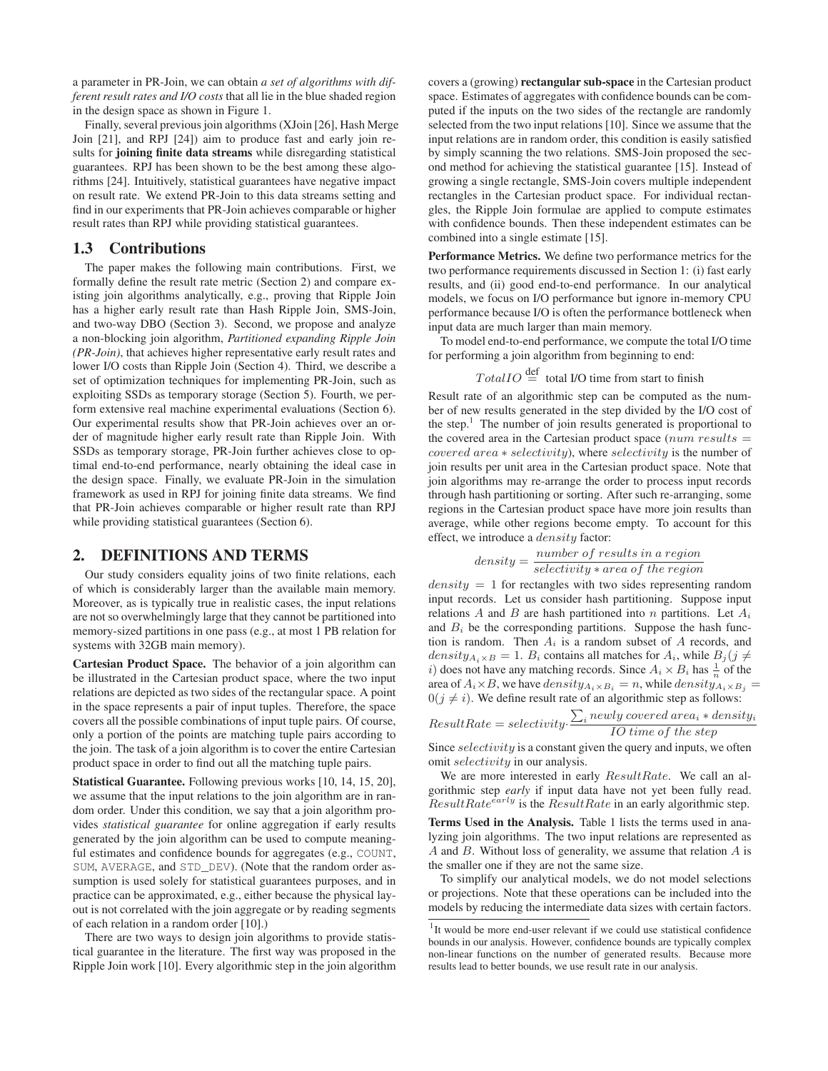a parameter in PR-Join, we can obtain *a set of algorithms with different result rates and I/O costs* that all lie in the blue shaded region in the design space as shown in Figure 1.

Finally, several previous join algorithms (XJoin [26], Hash Merge Join [21], and RPJ [24]) aim to produce fast and early join results for **joining finite data streams** while disregarding statistical guarantees. RPJ has been shown to be the best among these algorithms [24]. Intuitively, statistical guarantees have negative impact on result rate. We extend PR-Join to this data streams setting and find in our experiments that PR-Join achieves comparable or higher result rates than RPJ while providing statistical guarantees.

### **1.3 Contributions**

The paper makes the following main contributions. First, we formally define the result rate metric (Section 2) and compare existing join algorithms analytically, e.g., proving that Ripple Join has a higher early result rate than Hash Ripple Join, SMS-Join, and two-way DBO (Section 3). Second, we propose and analyze a non-blocking join algorithm, *Partitioned expanding Ripple Join (PR-Join)*, that achieves higher representative early result rates and lower I/O costs than Ripple Join (Section 4). Third, we describe a set of optimization techniques for implementing PR-Join, such as exploiting SSDs as temporary storage (Section 5). Fourth, we perform extensive real machine experimental evaluations (Section 6). Our experimental results show that PR-Join achieves over an order of magnitude higher early result rate than Ripple Join. With SSDs as temporary storage, PR-Join further achieves close to optimal end-to-end performance, nearly obtaining the ideal case in the design space. Finally, we evaluate PR-Join in the simulation framework as used in RPJ for joining finite data streams. We find that PR-Join achieves comparable or higher result rate than RPJ while providing statistical guarantees (Section 6).

# **2. DEFINITIONS AND TERMS**

Our study considers equality joins of two finite relations, each of which is considerably larger than the available main memory. Moreover, as is typically true in realistic cases, the input relations are not so overwhelmingly large that they cannot be partitioned into memory-sized partitions in one pass (e.g., at most 1 PB relation for systems with 32GB main memory).

**Cartesian Product Space.** The behavior of a join algorithm can be illustrated in the Cartesian product space, where the two input relations are depicted as two sides of the rectangular space. A point in the space represents a pair of input tuples. Therefore, the space covers all the possible combinations of input tuple pairs. Of course, only a portion of the points are matching tuple pairs according to the join. The task of a join algorithm is to cover the entire Cartesian product space in order to find out all the matching tuple pairs.

**Statistical Guarantee.** Following previous works [10, 14, 15, 20], we assume that the input relations to the join algorithm are in random order. Under this condition, we say that a join algorithm provides *statistical guarantee* for online aggregation if early results generated by the join algorithm can be used to compute meaningful estimates and confidence bounds for aggregates (e.g., COUNT, SUM, AVERAGE, and STD\_DEV). (Note that the random order assumption is used solely for statistical guarantees purposes, and in practice can be approximated, e.g., either because the physical layout is not correlated with the join aggregate or by reading segments of each relation in a random order [10].)

There are two ways to design join algorithms to provide statistical guarantee in the literature. The first way was proposed in the Ripple Join work [10]. Every algorithmic step in the join algorithm

covers a (growing) **rectangular sub-space** in the Cartesian product space. Estimates of aggregates with confidence bounds can be computed if the inputs on the two sides of the rectangle are randomly selected from the two input relations [10]. Since we assume that the input relations are in random order, this condition is easily satisfied by simply scanning the two relations. SMS-Join proposed the second method for achieving the statistical guarantee [15]. Instead of growing a single rectangle, SMS-Join covers multiple independent rectangles in the Cartesian product space. For individual rectangles, the Ripple Join formulae are applied to compute estimates with confidence bounds. Then these independent estimates can be combined into a single estimate [15].

**Performance Metrics.** We define two performance metrics for the two performance requirements discussed in Section 1: (i) fast early results, and (ii) good end-to-end performance. In our analytical models, we focus on I/O performance but ignore in-memory CPU performance because I/O is often the performance bottleneck when input data are much larger than main memory.

To model end-to-end performance, we compute the total I/O time for performing a join algorithm from beginning to end:

$$
TotalIO \stackrel{\text{def}}{=} \text{total I/O time from start to finish}
$$

Result rate of an algorithmic step can be computed as the number of new results generated in the step divided by the I/O cost of the step.<sup>1</sup> The number of join results generated is proportional to the covered area in the Cartesian product space (num results  $=$ covered area ∗ selectivity), where selectivity is the number of join results per unit area in the Cartesian product space. Note that join algorithms may re-arrange the order to process input records through hash partitioning or sorting. After such re-arranging, some regions in the Cartesian product space have more join results than average, while other regions become empty. To account for this effect, we introduce a density factor:

$$
density = \frac{number\ of\ results\ in\ a\ region}{selectivity* area\ of\ the\ region}
$$

 $density = 1$  for rectangles with two sides representing random input records. Let us consider hash partitioning. Suppose input relations A and B are hash partitioned into n partitions. Let  $A_i$ and  $B_i$  be the corresponding partitions. Suppose the hash function is random. Then  $A_i$  is a random subset of A records, and  $density_{A_i\times B} = 1$ .  $B_i$  contains all matches for  $A_i$ , while  $B_i$  (j  $\neq$ i) does not have any matching records. Since  $A_i \times B_i$  has  $\frac{1}{n}$  of the area of  $A_i \times B$ , we have  $density_{A_i \times B_i} = n$ , while  $density_{A_i \times B_i} =$  $0(j \neq i)$ . We define result rate of an algorithmic step as follows:  $\nabla$  nowled

$$
ResultRate = selectivity \cdot \frac{\sum_{i} newly\ covered\ area_{i} * density_{i}}{IO\ time\ of\ the\ step}
$$

Since selectivity is a constant given the query and inputs, we often omit selectivity in our analysis.

We are more interested in early  $ResultRate$ . We call an algorithmic step *early* if input data have not yet been fully read.  $ResultRate<sup>early</sup>$  is the  $ResultRate$  in an early algorithmic step.

**Terms Used in the Analysis.** Table 1 lists the terms used in analyzing join algorithms. The two input relations are represented as  $A$  and  $B$ . Without loss of generality, we assume that relation  $A$  is the smaller one if they are not the same size.

To simplify our analytical models, we do not model selections or projections. Note that these operations can be included into the models by reducing the intermediate data sizes with certain factors.

<sup>&</sup>lt;sup>1</sup>It would be more end-user relevant if we could use statistical confidence bounds in our analysis. However, confidence bounds are typically complex non-linear functions on the number of generated results. Because more results lead to better bounds, we use result rate in our analysis.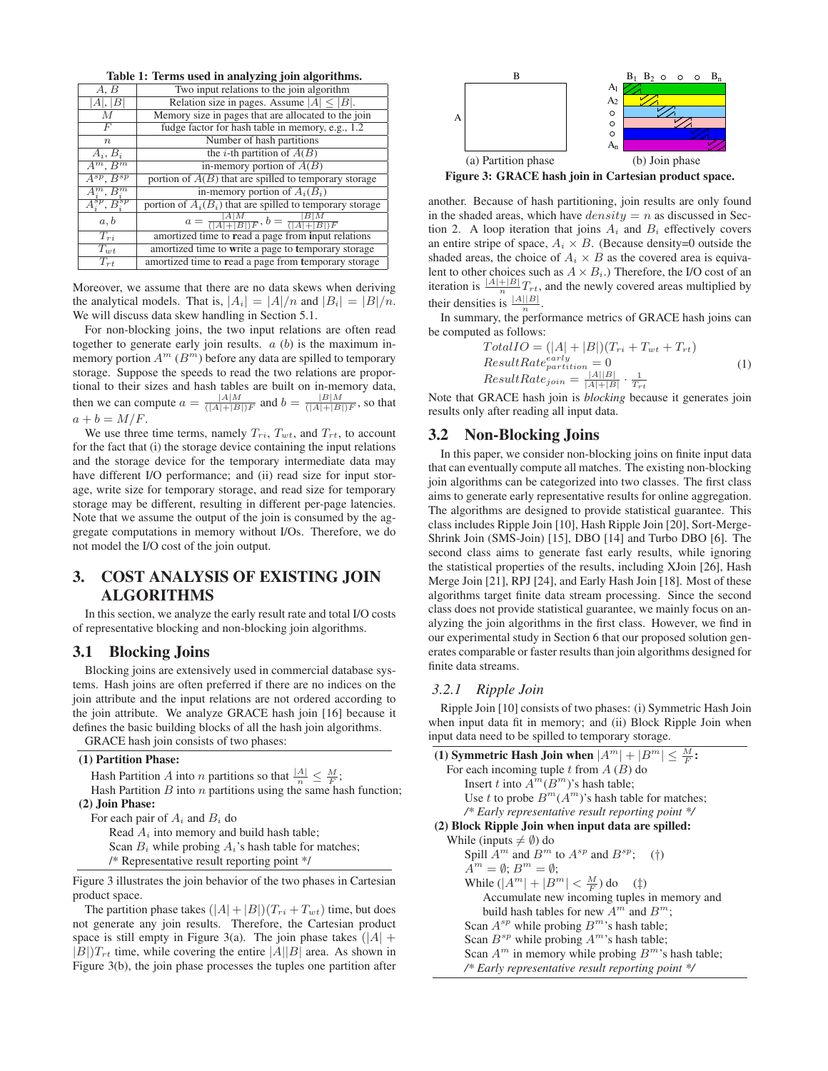**Table 1: Terms used in analyzing join algorithms.**

| 1, 10, 100 word in man, hing join wigot minim |                                                                    |  |
|-----------------------------------------------|--------------------------------------------------------------------|--|
| A, B                                          | Two input relations to the join algorithm                          |  |
| A,  B                                         | Relation size in pages. Assume $ A  \leq  B $ .                    |  |
| М                                             | Memory size in pages that are allocated to the join                |  |
| F                                             | fudge factor for hash table in memory, e.g., 1.2                   |  |
| $\boldsymbol{n}$                              | Number of hash partitions                                          |  |
| $A_i, B_i$                                    | the <i>i</i> -th partition of $A(B)$                               |  |
| $\overline{A^m}$ , $B^m$                      | in-memory portion of $A(B)$                                        |  |
| $A^{sp}, B^{sp}$                              | portion of $\overline{A(B)}$ that are spilled to temporary storage |  |
| $\overline{A_i^m, B_i^m}$                     | in-memory portion of $A_i(B_i)$                                    |  |
| $\overline{A_i^{sp},B_i^{sp}}$                | portion of $A_i(B_i)$ that are spilled to temporary storage        |  |
| a, b                                          | $a = \frac{ A M}{( A + B )F}, b = \frac{ B M}{( A + B )F}$         |  |
| $T_{ri}$                                      | amortized time to read a page from input relations                 |  |
| $T_{wt}$                                      | amortized time to write a page to temporary storage                |  |
| $T_{rt}$                                      | amortized time to read a page from temporary storage               |  |

Moreover, we assume that there are no data skews when deriving the analytical models. That is,  $|A_i| = |A|/n$  and  $|B_i| = |B|/n$ . We will discuss data skew handling in Section 5.1.

For non-blocking joins, the two input relations are often read together to generate early join results.  $a(b)$  is the maximum inmemory portion  $A^m$  ( $B^m$ ) before any data are spilled to temporary storage. Suppose the speeds to read the two relations are proportional to their sizes and hash tables are built on in-memory data, then we can compute  $a = \frac{|A|M}{(|A|+|B|)F}$  and  $b = \frac{|B|M}{(|A|+|B|)F}$ , so that  $a + b = M/F$ .

We use three time terms, namely  $T_{ri}$ ,  $T_{wt}$ , and  $T_{rt}$ , to account for the fact that (i) the storage device containing the input relations and the storage device for the temporary intermediate data may have different I/O performance; and (ii) read size for input storage, write size for temporary storage, and read size for temporary storage may be different, resulting in different per-page latencies. Note that we assume the output of the join is consumed by the aggregate computations in memory without I/Os. Therefore, we do not model the I/O cost of the join output.

# **3. COST ANALYSIS OF EXISTING JOIN ALGORITHMS**

In this section, we analyze the early result rate and total I/O costs of representative blocking and non-blocking join algorithms.

## **3.1 Blocking Joins**

Blocking joins are extensively used in commercial database systems. Hash joins are often preferred if there are no indices on the join attribute and the input relations are not ordered according to the join attribute. We analyze GRACE hash join [16] because it defines the basic building blocks of all the hash join algorithms.

GRACE hash join consists of two phases:

| (1) Partition Phase:                                                                 |
|--------------------------------------------------------------------------------------|
| Hash Partition A into <i>n</i> partitions so that $\frac{ A }{n} \leq \frac{M}{F}$ ; |
| Hash Partition $B$ into $n$ partitions using the same hash function;                 |
| $(2)$ Join Phase:                                                                    |
| For each pair of $A_i$ and $B_i$ do                                                  |
| Read $A_i$ into memory and build hash table;                                         |
| Scan $B_i$ while probing $A_i$ 's hash table for matches;                            |
| /* Representative result reporting point */                                          |
| Figure 3 illustrates the join behavior of the two phases in Cartesian                |
| product space.                                                                       |
| The partition phase takes $( A + B )(T_{ri}+T_{wt})$ time, but does                  |
| not generate any join results. Therefore, the Cartesian product                      |
| space is still empty in Figure 3(a). The join phase takes $( A  +$                   |
| $\overline{\phantom{a}}$                                                             |

 $|B|$ ) $T_{rt}$  time, while covering the entire  $|A||B|$  area. As shown in Figure 3(b), the join phase processes the tuples one partition after



another. Because of hash partitioning, join results are only found in the shaded areas, which have  $density = n$  as discussed in Section 2. A loop iteration that joins  $A_i$  and  $B_i$  effectively covers an entire stripe of space,  $A_i \times B$ . (Because density=0 outside the shaded areas, the choice of  $A_i \times B$  as the covered area is equivalent to other choices such as  $A \times B_i$ .) Therefore, the I/O cost of an iteration is  $\frac{|A|+|B|}{n}T_{rt}$ , and the newly covered areas multiplied by their densities is  $\frac{|A||B|}{n}$ .

In summary, the performance metrics of GRACE hash joins can be computed as follows:

$$
TotalIO = (|A| + |B|)(T_{ri} + T_{wt} + T_{rt})
$$
  
\n
$$
ResultRate_{partition}^{early} = 0
$$
  
\n
$$
ResultRate_{join} = \frac{|A||B|}{|A| + |B|} \cdot \frac{1}{T_{rt}}
$$
  
\n(1)

Note that GRACE hash join is *blocking* because it generates join results only after reading all input data.

## **3.2 Non-Blocking Joins**

In this paper, we consider non-blocking joins on finite input data that can eventually compute all matches. The existing non-blocking join algorithms can be categorized into two classes. The first class aims to generate early representative results for online aggregation. The algorithms are designed to provide statistical guarantee. This class includes Ripple Join [10], Hash Ripple Join [20], Sort-Merge-Shrink Join (SMS-Join) [15], DBO [14] and Turbo DBO [6]. The second class aims to generate fast early results, while ignoring the statistical properties of the results, including XJoin [26], Hash Merge Join [21], RPJ [24], and Early Hash Join [18]. Most of these algorithms target finite data stream processing. Since the second class does not provide statistical guarantee, we mainly focus on analyzing the join algorithms in the first class. However, we find in our experimental study in Section 6 that our proposed solution generates comparable or faster results than join algorithms designed for finite data streams.

#### *3.2.1 Ripple Join*

Ripple Join [10] consists of two phases: (i) Symmetric Hash Join when input data fit in memory; and (ii) Block Ripple Join when input data need to be spilled to temporary storage.

| (1) Symmetric Hash Join when $ A^m  +  B^m  \leq \frac{M}{F}$ : |  |  |
|-----------------------------------------------------------------|--|--|
| For each incoming tuple t from $A(B)$ do                        |  |  |
| Insert t into $A^m(B^m)$ 's hash table;                         |  |  |
| Use t to probe $B^m(A^m)$ 's hash table for matches;            |  |  |
| /* Early representative result reporting point */               |  |  |
| (2) Block Ripple Join when input data are spilled:              |  |  |
| While (inputs $\neq \emptyset$ ) do                             |  |  |
| Spill $A^m$ and $B^m$ to $A^{sp}$ and $B^{sp}$ ; (†)            |  |  |
| $A^m = \emptyset$ : $B^m = \emptyset$ :                         |  |  |
| While $( A^m + B^m <\frac{M}{F})$ do (#)                        |  |  |
| Accumulate new incoming tuples in memory and                    |  |  |
| build hash tables for new $A^m$ and $B^m$ ;                     |  |  |
| Scan $A^{sp}$ while probing $B^{m}$ 's hash table;              |  |  |
| Scan $B^{sp}$ while probing $A^{m}$ 's hash table;              |  |  |
| Scan $A^m$ in memory while probing $B^m$ 's hash table;         |  |  |
| /* Early representative result reporting point */               |  |  |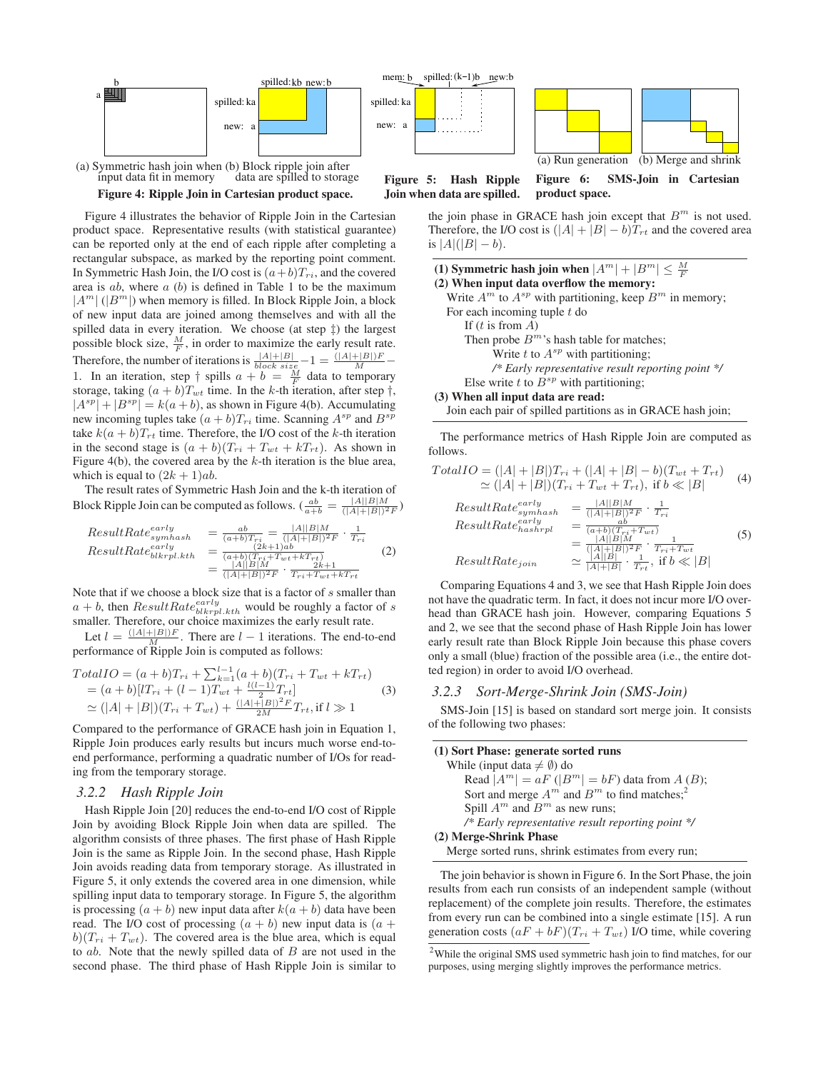



Figure 4 illustrates the behavior of Ripple Join in the Cartesian product space. Representative results (with statistical guarantee) can be reported only at the end of each ripple after completing a rectangular subspace, as marked by the reporting point comment. In Symmetric Hash Join, the I/O cost is  $(a+b)T_{ri}$ , and the covered area is  $ab$ , where  $a$  ( $b$ ) is defined in Table 1 to be the maximum  $|A^m|$  ( $|B^m|$ ) when memory is filled. In Block Ripple Join, a block of new input data are joined among themselves and with all the spilled data in every iteration. We choose (at step ‡) the largest possible block size,  $\frac{M}{F}$ , in order to maximize the early result rate. Therefore, the number of iterations is  $\frac{|A|+|B|}{block size} - 1 = \frac{(|A|+|B|)F}{M} -$ 1. In an iteration, step  $\dagger$  spills  $a + b = \frac{M}{F}$  data to temporary storage, taking  $(a + b)T_{wt}$  time. In the k-th iteration, after step  $\dagger$ ,  $|A^{sp}| + |B^{sp}| = k(a + b)$ , as shown in Figure 4(b). Accumulating new incoming tuples take  $(a + b)T_{ri}$  time. Scanning  $A^{sp}$  and  $B^{sp}$ take  $k(a + b)T_{rt}$  time. Therefore, the I/O cost of the k-th iteration in the second stage is  $(a + b)(T_{ri} + T_{wt} + kT_{rt})$ . As shown in Figure 4(b), the covered area by the  $k$ -th iteration is the blue area, which is equal to  $(2k + 1)ab$ .

The result rates of Symmetric Hash Join and the k-th iteration of Block Ripple Join can be computed as follows.  $\left(\frac{ab}{a+b} = \frac{|A||B|M}{(|A|+|B|)^2F}\right)$ 

$$
ResultRate_{sumhash}^{early} = \frac{ab}{(a+b)T_{ri}} = \frac{|A||B|M}{(|A|+|B|)^2F} \cdot \frac{1}{T_{ri}}
$$
  
\n
$$
ResultRate_{blkrpl.kth}^{early} = \frac{(2k+1)ab}{(a+b)(T_{ri}+T_{wt}+kT_{rt})}
$$
  
\n
$$
= \frac{|A||B|M}{(|A|+|B|)^2F} \cdot \frac{2k+1}{T_{ri}+T_{wt}+kT_{rt}}
$$
  
\n(2)

Note that if we choose a block size that is a factor of s smaller than  $a + b$ , then  $ResultRate_{blkrpl.kth}^{early}$  would be roughly a factor of s smaller. Therefore, our choice maximizes the early result rate.

Let  $l = \frac{(|A|+|B|)F}{M}$ . There are  $l-1$  iterations. The end-to-end performance of Ripple Join is computed as follows:

$$
TotalIO = (a + b)T_{ri} + \sum_{k=1}^{l-1} (a + b)(T_{ri} + T_{wt} + kT_{rt})
$$
  
=  $(a + b)[lT_{ri} + (l - 1)T_{wt} + \frac{l(l-1)}{2}T_{rt}]$   
 $\simeq (|A| + |B|)(T_{ri} + T_{wt}) + \frac{(|A| + |B|)^2 F}{2M}T_{rt}$ , if  $l \gg 1$  (3)

Compared to the performance of GRACE hash join in Equation 1, Ripple Join produces early results but incurs much worse end-toend performance, performing a quadratic number of I/Os for reading from the temporary storage.

#### *3.2.2 Hash Ripple Join*

Hash Ripple Join [20] reduces the end-to-end I/O cost of Ripple Join by avoiding Block Ripple Join when data are spilled. The algorithm consists of three phases. The first phase of Hash Ripple Join is the same as Ripple Join. In the second phase, Hash Ripple Join avoids reading data from temporary storage. As illustrated in Figure 5, it only extends the covered area in one dimension, while spilling input data to temporary storage. In Figure 5, the algorithm is processing  $(a + b)$  new input data after  $k(a + b)$  data have been read. The I/O cost of processing  $(a + b)$  new input data is  $(a + b)$  $b(T_{ri} + T_{wt})$ . The covered area is the blue area, which is equal to  $ab$ . Note that the newly spilled data of  $B$  are not used in the second phase. The third phase of Hash Ripple Join is similar to





**Figure 5: Hash Ripple Join when data are spilled.**

**Figure 6: SMS-Join in Cartesian product space.**

the join phase in GRACE hash join except that  $B<sup>m</sup>$  is not used. Therefore, the I/O cost is  $(|A| + |B| - b)T_{rt}$  and the covered area is  $|A|(|B| − b)$ .

| (1) Symmetric hash join when $ A^m  +  B^m  \leq \frac{M}{F}$    |  |  |
|------------------------------------------------------------------|--|--|
| (2) When input data overflow the memory:                         |  |  |
| Write $A^m$ to $A^{sp}$ with partitioning, keep $B^m$ in memory; |  |  |
| For each incoming tuple $t$ do                                   |  |  |
| If $(t$ is from $A)$                                             |  |  |
| Then probe $Bm$ 's hash table for matches;                       |  |  |
| Write t to $A^{sp}$ with partitioning;                           |  |  |
| /* Early representative result reporting point */                |  |  |
| Else write t to $B^{sp}$ with partitioning;                      |  |  |
| (3) When all input data are read:                                |  |  |
| Join each pair of spilled partitions as in GRACE hash join;      |  |  |
|                                                                  |  |  |

The performance metrics of Hash Ripple Join are computed as follows.

$$
TotalIO = (|A| + |B|)T_{ri} + (|A| + |B| - b)(T_{wt} + T_{rt})
$$
  
\n
$$
\simeq (|A| + |B|)(T_{ri} + T_{wt} + T_{rt}), \text{ if } b \ll |B|
$$
 (4)

ResultRate<sup>early</sup>  
\nResultRate<sup>early</sup>  
\nResultRate<sup>early</sup>  
\n
$$
= \frac{|A||B|M}{(|A|+|B|)^2 F} \cdot \frac{1}{T_{ri}}
$$
\n
$$
= \frac{ab}{(a+b)(T_{ri}+Tw)} \cdot \frac{1}{T_{ri}+T_{wt}}
$$
\n
$$
= \frac{|A||B|M}{(|A|+|B|)^2 F} \cdot \frac{1}{T_{ri}+T_{wt}}
$$
\n
$$
ResultRatejoin \approx \frac{|A||B|}{|A|+|B|} \cdot \frac{1}{T_{rt}}, \text{ if } b \ll |B|
$$
\n(5)

Comparing Equations 4 and 3, we see that Hash Ripple Join does not have the quadratic term. In fact, it does not incur more I/O overhead than GRACE hash join. However, comparing Equations 5 and 2, we see that the second phase of Hash Ripple Join has lower early result rate than Block Ripple Join because this phase covers only a small (blue) fraction of the possible area (i.e., the entire dotted region) in order to avoid I/O overhead.

#### *3.2.3 Sort-Merge-Shrink Join (SMS-Join)*

SMS-Join [15] is based on standard sort merge join. It consists of the following two phases:

| (1) Sort Phase: generate sorted runs                         |  |  |
|--------------------------------------------------------------|--|--|
| While (input data $\neq \emptyset$ ) do                      |  |  |
| Read $ A^m  = aF( B^m  = bF)$ data from $A(B)$ ;             |  |  |
| Sort and merge $A^m$ and $B^m$ to find matches; <sup>2</sup> |  |  |
| Spill $A^m$ and $B^m$ as new runs;                           |  |  |
| /* Early representative result reporting point */            |  |  |
| (2) Merge-Shrink Phase                                       |  |  |
| Merge sorted runs, shrink estimates from every run;          |  |  |

The join behavior is shown in Figure 6. In the Sort Phase, the join results from each run consists of an independent sample (without replacement) of the complete join results. Therefore, the estimates from every run can be combined into a single estimate [15]. A run generation costs  $(aF + bF)(T_{ri} + T_{wt})$  I/O time, while covering

<sup>2</sup>While the original SMS used symmetric hash join to find matches, for our purposes, using merging slightly improves the performance metrics.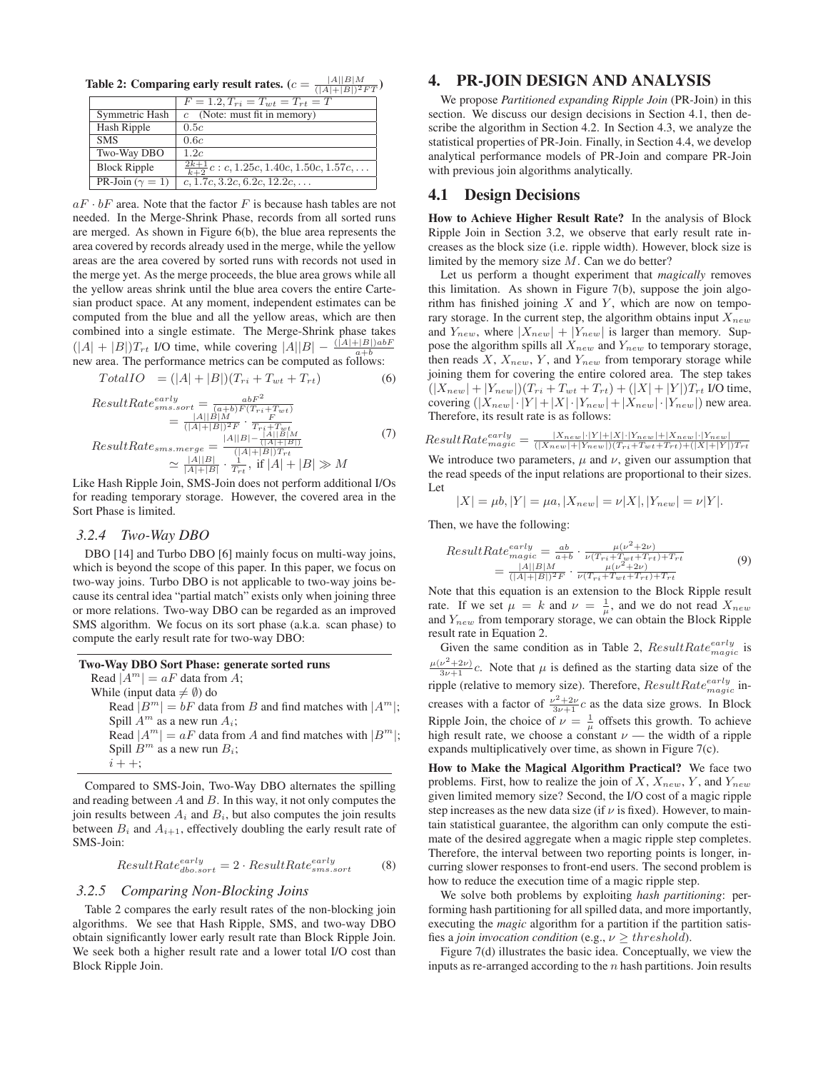**Table 2: Comparing early result rates.**  $(c = \frac{|A||B|M}{(|A|+|B|)^2FT})$ 

|                          | $F = 1.2, T_{ri} = T_{wt} = T_{rt} = T$                    |
|--------------------------|------------------------------------------------------------|
| Symmetric Hash           | $c$ (Note: must fit in memory)                             |
| Hash Ripple              | 0.5c                                                       |
| <b>SMS</b>               | 0.6c                                                       |
| Two-Way DBO              | 1.2c                                                       |
| <b>Block Ripple</b>      | $\frac{2k+1}{k+2}c: c, 1.25c, 1.40c, 1.50c, 1.57c, \ldots$ |
| PR-Join ( $\gamma = 1$ ) | $c, 1.7c, 3.2c, 6.2c, 12.2c, \ldots$                       |

 $aF \cdot bF$  area. Note that the factor F is because hash tables are not needed. In the Merge-Shrink Phase, records from all sorted runs are merged. As shown in Figure 6(b), the blue area represents the area covered by records already used in the merge, while the yellow areas are the area covered by sorted runs with records not used in the merge yet. As the merge proceeds, the blue area grows while all the yellow areas shrink until the blue area covers the entire Cartesian product space. At any moment, independent estimates can be computed from the blue and all the yellow areas, which are then combined into a single estimate. The Merge-Shrink phase takes  $(|A| + |B|)T_{rt}$  I/O time, while covering  $|A||B| - \frac{(|A| + |B|)abF}{a+b}$ new area. The performance metrics can be computed as follows:

$$
TotalIO = (|A| + |B|)(T_{ri} + T_{wt} + T_{rt})
$$
\n(6)

$$
ResultRate_{sms.sort}^{early} = \frac{abF^2}{(a+b)F(T_{ri}+T_{wt})}
$$
  
= 
$$
\frac{|A||B|M}{(|A|+|B|)^2F} \cdot \frac{F}{T_{ri}+T_{wt}} + \frac{F}{T_{ri}+T_{wt}} \qquad (7)
$$
  
ResultRate<sub>sms.merge</sub> = 
$$
\frac{|A||B| - \frac{|A||B||}{(|A|+|B|)}}{(|A|+|B|)^T_{rt}} \frac{1}{||A||+|B||} \qquad (8)
$$
  

$$
\simeq \frac{|A||B|}{|A|+|B|} \cdot \frac{1}{T_{rt}}, \text{ if } |A|+|B| \gg M
$$

Like Hash Ripple Join, SMS-Join does not perform additional I/Os for reading temporary storage. However, the covered area in the Sort Phase is limited.

#### *3.2.4 Two-Way DBO*

DBO [14] and Turbo DBO [6] mainly focus on multi-way joins, which is beyond the scope of this paper. In this paper, we focus on two-way joins. Turbo DBO is not applicable to two-way joins because its central idea "partial match" exists only when joining three or more relations. Two-way DBO can be regarded as an improved SMS algorithm. We focus on its sort phase (a.k.a. scan phase) to compute the early result rate for two-way DBO:

**Two-Way DBO Sort Phase: generate sorted runs** Read  $|A^m| = aF$  data from A; While (input data  $\neq \emptyset$ ) do Read  $|B^m| = bF$  data from B and find matches with  $|A^m|$ ; Spill  $A^m$  as a new run  $A_i$ ; Read  $|A^m| = aF$  data from A and find matches with  $|B^m|$ ; Spill  $B^m$  as a new run  $B_i$ ;  $i + +$ ;

Compared to SMS-Join, Two-Way DBO alternates the spilling and reading between  $A$  and  $B$ . In this way, it not only computes the join results between  $A_i$  and  $B_i$ , but also computes the join results between  $B_i$  and  $A_{i+1}$ , effectively doubling the early result rate of SMS-Join:

$$
ResultRate_{dbo.sort}^{early} = 2 \cdot ResultRate_{sms.sort}^{early} \tag{8}
$$

#### *3.2.5 Comparing Non-Blocking Joins*

Table 2 compares the early result rates of the non-blocking join algorithms. We see that Hash Ripple, SMS, and two-way DBO obtain significantly lower early result rate than Block Ripple Join. We seek both a higher result rate and a lower total I/O cost than Block Ripple Join.

# **4. PR-JOIN DESIGN AND ANALYSIS**

We propose *Partitioned expanding Ripple Join* (PR-Join) in this section. We discuss our design decisions in Section 4.1, then describe the algorithm in Section 4.2. In Section 4.3, we analyze the statistical properties of PR-Join. Finally, in Section 4.4, we develop analytical performance models of PR-Join and compare PR-Join with previous join algorithms analytically.

#### **4.1 Design Decisions**

**How to Achieve Higher Result Rate?** In the analysis of Block Ripple Join in Section 3.2, we observe that early result rate increases as the block size (i.e. ripple width). However, block size is limited by the memory size M. Can we do better?

Let us perform a thought experiment that *magically* removes this limitation. As shown in Figure 7(b), suppose the join algorithm has finished joining  $X$  and  $Y$ , which are now on temporary storage. In the current step, the algorithm obtains input  $X_{new}$ and  $Y_{new}$ , where  $|X_{new}| + |Y_{new}|$  is larger than memory. Suppose the algorithm spills all  $X_{new}$  and  $Y_{new}$  to temporary storage, then reads X,  $X_{new}$ , Y, and  $Y_{new}$  from temporary storage while joining them for covering the entire colored area. The step takes  $(|X_{new}| + |Y_{new}|)(T_{ri} + T_{wt} + T_{rt}) + (|X| + |Y|)T_{rt}$  I/O time, covering  $(|X_{new}| \cdot |Y| + |X| \cdot |Y_{new}| + |X_{new}| \cdot |Y_{new}|)$  new area. Therefore, its result rate is as follows:

 $ResultRate^{early}_{magic} = \frac{|X_{new}|\cdot|Y| + |X|\cdot|Y_{new}| + |X_{new}|\cdot|Y_{new}|}{(|X_{new}||+|Y_{new}|)(T_{ri}+T_{wt}+T_{rt})+ (|X|+|Y|)T_{rt}}$ We introduce two parameters,  $\mu$  and  $\nu$ , given our assumption that the read speeds of the input relations are proportional to their sizes. Let

$$
|X| = \mu b, |Y| = \mu a, |X_{new}| = \nu |X|, |Y_{new}| = \nu |Y|.
$$

Then, we have the following:

$$
ResultRate_{magic}^{early} = \frac{ab}{a+b} \cdot \frac{\mu(\nu^2 + 2\nu)}{\nu(T_{ri} + T_{wt} + T_{rt}) + T_{rt}} = \frac{|A||B|M}{(|A| + |B|)^2 F} \cdot \frac{\mu(\nu^2 + 2\nu)}{\nu(T_{ri} + T_{wt} + T_{rt}) + T_{rt}} \tag{9}
$$

Note that this equation is an extension to the Block Ripple result rate. If we set  $\mu = k$  and  $\nu = \frac{1}{\mu}$ , and we do not read  $X_{new}$ and  $Y_{new}$  from temporary storage, we can obtain the Block Ripple result rate in Equation 2.

Given the same condition as in Table 2,  $ResultRate^{early}_{magic}$  is  $\frac{\mu(\nu^2+2\nu)}{3\nu+1}$ c. Note that  $\mu$  is defined as the starting data size of the ripple (relative to memory size). Therefore,  $ResultRate_{magic}^{early}$  increases with a factor of  $\frac{\nu^2 + 2\nu}{3\nu + 1}c$  as the data size grows. In Block Ripple Join, the choice of  $\nu = \frac{1}{\mu}$  offsets this growth. To achieve high result rate, we choose a constant  $\nu$  — the width of a ripple expands multiplicatively over time, as shown in Figure 7(c).

**How to Make the Magical Algorithm Practical?** We face two problems. First, how to realize the join of X,  $X_{new}$ , Y, and  $Y_{new}$ given limited memory size? Second, the I/O cost of a magic ripple step increases as the new data size (if  $\nu$  is fixed). However, to maintain statistical guarantee, the algorithm can only compute the estimate of the desired aggregate when a magic ripple step completes. Therefore, the interval between two reporting points is longer, incurring slower responses to front-end users. The second problem is how to reduce the execution time of a magic ripple step.

We solve both problems by exploiting *hash partitioning*: performing hash partitioning for all spilled data, and more importantly, executing the *magic* algorithm for a partition if the partition satisfies a *join invocation condition* (e.g.,  $\nu \geq threshold$ ).

Figure 7(d) illustrates the basic idea. Conceptually, we view the inputs as re-arranged according to the  $n$  hash partitions. Join results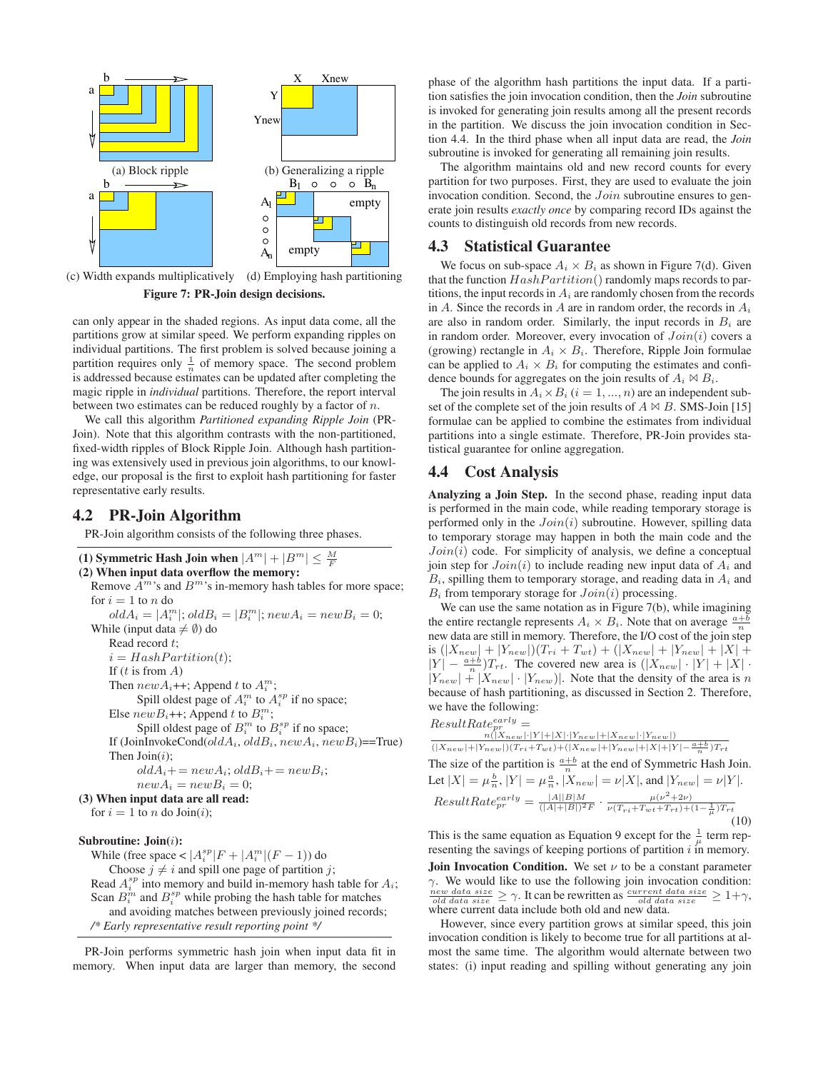

(c) Width expands multiplicatively (d) Employing hash partitioning **Figure 7: PR-Join design decisions.**

can only appear in the shaded regions. As input data come, all the partitions grow at similar speed. We perform expanding ripples on individual partitions. The first problem is solved because joining a partition requires only  $\frac{1}{n}$  of memory space. The second problem is addressed because estimates can be updated after completing the magic ripple in *individual* partitions. Therefore, the report interval between two estimates can be reduced roughly by a factor of  $n$ .

We call this algorithm *Partitioned expanding Ripple Join* (PR-Join). Note that this algorithm contrasts with the non-partitioned, fixed-width ripples of Block Ripple Join. Although hash partitioning was extensively used in previous join algorithms, to our knowledge, our proposal is the first to exploit hash partitioning for faster representative early results.

# **4.2 PR-Join Algorithm**

PR-Join algorithm consists of the following three phases.

**(1) Symmetric Hash Join when**  $|A^m| + |B^m| \leq \frac{M}{F}$ **(2) When input data overflow the memory:** Remove  $A^{m}$ 's and  $B^{m}$ 's in-memory hash tables for more space; for  $i = 1$  to n do  $oldA_i = |A_i^m|; oldB_i = |B_i^m|; newA_i = newB_i = 0;$ While (input data  $\neq \emptyset$ ) do Read record t:  $i = HashPartition(t);$ If  $(t \text{ is from } A)$ Then  $newA_i++$ ; Append t to  $A_i^m$ ; Spill oldest page of  $A_i^m$  to  $A_i^{sp}$  if no space; Else  $newB_i++$ ; Append t to  $B_i^m$ ; Spill oldest page of  $B_i^m$  to  $B_i^{sp}$  if no space; If (JoinInvokeCond( $oldA_i$ ,  $oldB_i$ ,  $newA_i$ ,  $newB_i$ )==True) Then  $Join(i)$ ;  $oldA_i+=newA_i; oldB_i+=newB_i;$  $newA_i = newB_i = 0;$ **(3) When input data are all read:** for  $i = 1$  to *n* do Join(*i*);

## **Subroutine: Join(**i**):**

While (free space  $\langle |A_i^{sp}|F + |A_i^{m}|(F-1) \rangle$  do Choose  $j \neq i$  and spill one page of partition j; Read  $A_i^{sp}$  into memory and build in-memory hash table for  $A_i$ ; Scan  $B_i^m$  and  $B_i^{sp}$  while probing the hash table for matches and avoiding matches between previously joined records; */\* Early representative result reporting point \*/*

PR-Join performs symmetric hash join when input data fit in memory. When input data are larger than memory, the second phase of the algorithm hash partitions the input data. If a partition satisfies the join invocation condition, then the *Join* subroutine is invoked for generating join results among all the present records in the partition. We discuss the join invocation condition in Section 4.4. In the third phase when all input data are read, the *Join* subroutine is invoked for generating all remaining join results.

The algorithm maintains old and new record counts for every partition for two purposes. First, they are used to evaluate the join invocation condition. Second, the *Join* subroutine ensures to generate join results *exactly once* by comparing record IDs against the counts to distinguish old records from new records.

#### **4.3 Statistical Guarantee**

We focus on sub-space  $A_i \times B_i$  as shown in Figure 7(d). Given that the function  $HashPartition()$  randomly maps records to partitions, the input records in  $A_i$  are randomly chosen from the records in A. Since the records in A are in random order, the records in  $A_i$ are also in random order. Similarly, the input records in  $B_i$  are in random order. Moreover, every invocation of  $Join(i)$  covers a (growing) rectangle in  $A_i \times B_i$ . Therefore, Ripple Join formulae can be applied to  $A_i \times B_i$  for computing the estimates and confidence bounds for aggregates on the join results of  $A_i \bowtie B_i$ .

The join results in  $A_i \times B_i$  ( $i = 1, ..., n$ ) are an independent subset of the complete set of the join results of  $A \bowtie B$ . SMS-Join [15] formulae can be applied to combine the estimates from individual partitions into a single estimate. Therefore, PR-Join provides statistical guarantee for online aggregation.

### **4.4 Cost Analysis**

**Analyzing a Join Step.** In the second phase, reading input data is performed in the main code, while reading temporary storage is performed only in the  $Join(i)$  subroutine. However, spilling data to temporary storage may happen in both the main code and the  $Join(i)$  code. For simplicity of analysis, we define a conceptual join step for  $Join(i)$  to include reading new input data of  $A_i$  and  $B_i$ , spilling them to temporary storage, and reading data in  $A_i$  and  $B_i$  from temporary storage for  $Join(i)$  processing.

We can use the same notation as in Figure 7(b), while imagining the entire rectangle represents  $A_i \times B_i$ . Note that on average  $\frac{a+b}{n}$ new data are still in memory. Therefore, the I/O cost of the join step is  $(|X_{new}| + |Y_{new}|)(T_{ri} + T_{wt}) + (|X_{new}| + |Y_{new}| + |X| +$  $|Y| - \frac{a+b}{n}$ ) $T_{rt}$ . The covered new area is  $(|X_{new}| \cdot |Y| + |X| \cdot$  $|Y_{new}| + |X_{new}| \cdot |Y_{new}|$ . Note that the density of the area is n because of hash partitioning, as discussed in Section 2. Therefore, we have the following:

$$
ResultRate_{nr}^{early}
$$

 $ResultRate^{early}_{pr} = \frac{n(|X_{new}| \cdot |Y| + |X| \cdot |Y_{new}| + |X_{new}| \cdot |Y_{new}|)}{(|X_{new}| + |Y_{new}|)(T_{ri} + T_{wt}) + (|X_{new}| + |Y_{new}| + |X| + |Y| - \frac{a+b}{n})T_{rt}}$ The size of the partition is  $\frac{a+b}{n}$  at the end of Symmetric Hash Join. Let  $|X| = \mu \frac{b}{n}$ ,  $|Y| = \mu \frac{a}{n}$ ,  $|X_{new}| = \nu |X|$ , and  $|Y_{new}| = \nu |Y|$ .  $ResultRate^{early}_{pr} = \frac{|A||B|M}{(|A|+|B|)^2F} \cdot \frac{\mu(\nu^2+2\nu)}{\nu(T_{ri}+T_{wt}+T_{rt})+(\nu^2+2\nu)}$  $v(T_{ri}+T_{wt}+T_{rt})+(1-\frac{1}{\mu})T_{rt}$ (10)

This is the same equation as Equation 9 except for the  $\frac{1}{\mu}$  term representing the savings of keeping portions of partition  $i$  in memory. **Join Invocation Condition.** We set  $\nu$  to be a constant parameter  $\gamma$ . We would like to use the following join invocation condition:  $\frac{new \ data \ size}{old \ data \ size} \geq \gamma$ . It can be rewritten as  $\frac{current \ data \ size}{old \ data \ size} \geq 1+\gamma$ , where current data include both old and new data.

However, since every partition grows at similar speed, this join invocation condition is likely to become true for all partitions at almost the same time. The algorithm would alternate between two states: (i) input reading and spilling without generating any join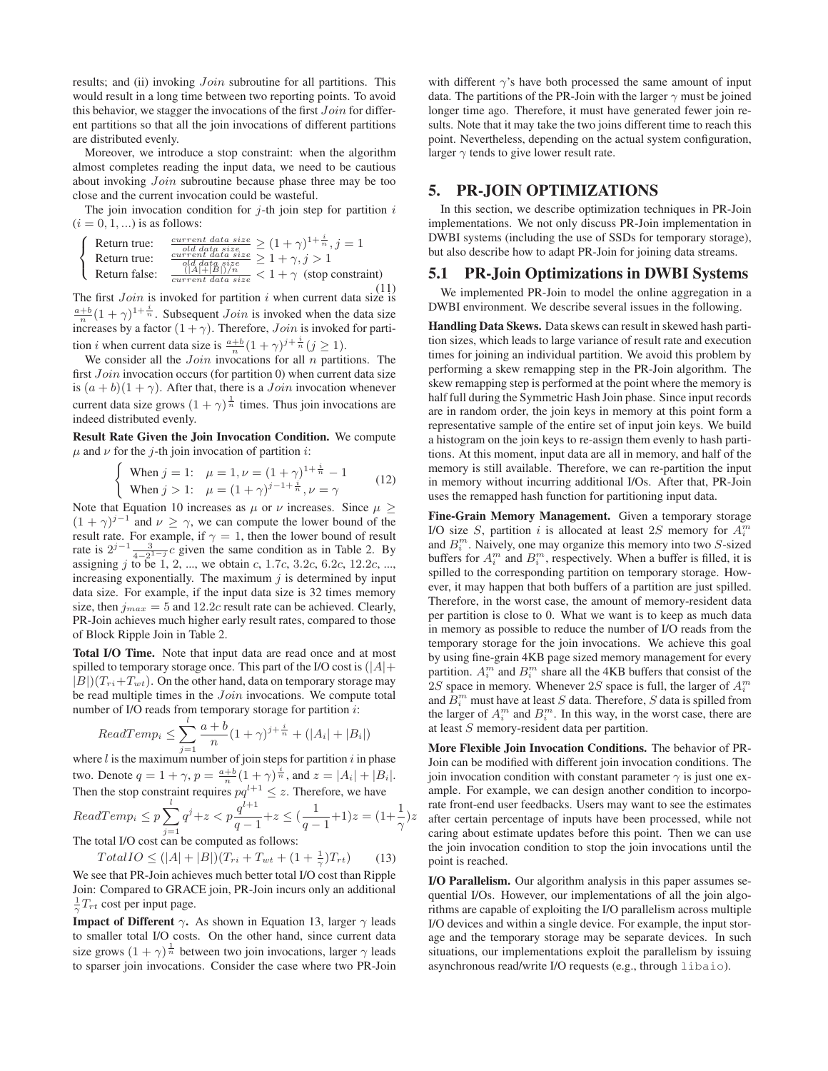results; and (ii) invoking *Join* subroutine for all partitions. This would result in a long time between two reporting points. To avoid this behavior, we stagger the invocations of the first  $Join$  for different partitions so that all the join invocations of different partitions are distributed evenly.

Moreover, we introduce a stop constraint: when the algorithm almost completes reading the input data, we need to be cautious about invoking *Join* subroutine because phase three may be too close and the current invocation could be wasteful.

The join invocation condition for  $j$ -th join step for partition  $i$  $(i = 0, 1, ...)$  is as follows:

$$
\left\{\begin{array}{ll} \text{Return true:} & \frac{current\ data\ size}{old\ data\ size} \geq (1+\gamma)^{1+\frac{i}{n}}, j=1\\ \text{Return true:} & \frac{current\ data\ size}{old\ data\ size} \geq 1+\gamma, j>1\\ \text{Return false:} & \frac{(|A|+|B|)/n}{clt+|B|/n} & \leq 1+\gamma \ (stop\ constraint) \end{array}\right.
$$

The first *Join* is invoked for partition *i* when current data size is  $\frac{a+b}{n}(1+\gamma)^{1+\frac{i}{n}}$ . Subsequent *Join* is invoked when the data size increases by a factor  $(1 + \gamma)$ . Therefore, *Join* is invoked for partition *i* when current data size is  $\frac{a+b}{n}(1+\gamma)^{j+\frac{i}{n}} (j \ge 1)$ .

We consider all the  $Join$  invocations for all  $n$  partitions. The first  $Join$  invocation occurs (for partition 0) when current data size is  $(a + b)(1 + \gamma)$ . After that, there is a *Join* invocation whenever current data size grows  $(1 + \gamma)^{\frac{1}{n}}$  times. Thus join invocations are indeed distributed evenly.

**Result Rate Given the Join Invocation Condition.** We compute  $\mu$  and  $\nu$  for the *j*-th join invocation of partition *i*:

$$
\begin{cases} \text{When } j = 1; \quad \mu = 1, \nu = (1 + \gamma)^{1 + \frac{i}{n}} - 1\\ \text{When } j > 1; \quad \mu = (1 + \gamma)^{j - 1 + \frac{i}{n}}, \nu = \gamma \end{cases} \tag{12}
$$

Note that Equation 10 increases as  $\mu$  or  $\nu$  increases. Since  $\mu$  >  $(1 + \gamma)^{j-1}$  and  $\nu \geq \gamma$ , we can compute the lower bound of the result rate. For example, if  $\gamma = 1$ , then the lower bound of result rate is  $2^{j-1}$   $\frac{3}{4-2^{1-j}}c$  given the same condition as in Table 2. By assigning  $j$  to be 1, 2, ..., we obtain  $c$ , 1.7 $c$ , 3.2 $c$ , 6.2 $c$ , 12.2 $c$ , ..., increasing exponentially. The maximum  $j$  is determined by input data size. For example, if the input data size is 32 times memory size, then  $j_{max} = 5$  and 12.2c result rate can be achieved. Clearly, PR-Join achieves much higher early result rates, compared to those of Block Ripple Join in Table 2.

**Total I/O Time.** Note that input data are read once and at most spilled to temporary storage once. This part of the I/O cost is  $(|A|+$  $|B|$ )( $T_{ri}+T_{wt}$ ). On the other hand, data on temporary storage may be read multiple times in the  $Join$  invocations. We compute total number of I/O reads from temporary storage for partition *i*:

$$
ReadTemp_i \leq \sum_{j=1}^{l} \frac{a+b}{n} (1+\gamma)^{j+\frac{i}{n}} + (|A_i|+|B_i|)
$$

where *l* is the maximum number of join steps for partition *i* in phase two. Denote  $q = 1 + \gamma$ ,  $p = \frac{a+b}{n}(1 + \gamma)^{\frac{i}{n}}$ , and  $z = |A_i| + |B_i|$ . Then the stop constraint requires  $pq^{l+1} \leq z$ . Therefore, we have

$$
ReadTemp_i \le p \sum_{j=1}^{l} q^j + z < p \frac{q^{l+1}}{q-1} + z \le (\frac{1}{q-1} + 1)z = (1 + \frac{1}{\gamma})z
$$
\nThe total UQ cost can be computed as follows:

The total I/O cost can be computed as follows:

$$
TotalIO \le (|A|+|B|)(T_{ri}+T_{wt}+(1+\frac{1}{\gamma})T_{rt})
$$
 (13)

We see that PR-Join achieves much better total I/O cost than Ripple Join: Compared to GRACE join, PR-Join incurs only an additional  $\frac{1}{\gamma}T_{rt}$  cost per input page.

**Impact of Different**  $\gamma$ . As shown in Equation 13, larger  $\gamma$  leads to smaller total I/O costs. On the other hand, since current data size grows  $(1 + \gamma)^{\frac{1}{n}}$  between two join invocations, larger  $\gamma$  leads to sparser join invocations. Consider the case where two PR-Join with different  $\gamma$ 's have both processed the same amount of input data. The partitions of the PR-Join with the larger  $\gamma$  must be joined longer time ago. Therefore, it must have generated fewer join results. Note that it may take the two joins different time to reach this point. Nevertheless, depending on the actual system configuration, larger  $\gamma$  tends to give lower result rate.

# **5. PR-JOIN OPTIMIZATIONS**

In this section, we describe optimization techniques in PR-Join implementations. We not only discuss PR-Join implementation in DWBI systems (including the use of SSDs for temporary storage), but also describe how to adapt PR-Join for joining data streams.

### **5.1 PR-Join Optimizations in DWBI Systems**

We implemented PR-Join to model the online aggregation in a DWBI environment. We describe several issues in the following.

**Handling Data Skews.** Data skews can result in skewed hash partition sizes, which leads to large variance of result rate and execution times for joining an individual partition. We avoid this problem by performing a skew remapping step in the PR-Join algorithm. The skew remapping step is performed at the point where the memory is half full during the Symmetric Hash Join phase. Since input records are in random order, the join keys in memory at this point form a representative sample of the entire set of input join keys. We build a histogram on the join keys to re-assign them evenly to hash partitions. At this moment, input data are all in memory, and half of the memory is still available. Therefore, we can re-partition the input in memory without incurring additional I/Os. After that, PR-Join uses the remapped hash function for partitioning input data.

**Fine-Grain Memory Management.** Given a temporary storage I/O size *S*, partition *i* is allocated at least 2*S* memory for  $A_i^m$ and  $B_i^m$ . Naively, one may organize this memory into two  $S$ -sized buffers for  $A_i^m$  and  $B_i^m$ , respectively. When a buffer is filled, it is spilled to the corresponding partition on temporary storage. However, it may happen that both buffers of a partition are just spilled. Therefore, in the worst case, the amount of memory-resident data per partition is close to 0. What we want is to keep as much data in memory as possible to reduce the number of I/O reads from the temporary storage for the join invocations. We achieve this goal by using fine-grain 4KB page sized memory management for every partition.  $A_i^m$  and  $B_i^m$  share all the 4KB buffers that consist of the 2S space in memory. Whenever 2S space is full, the larger of  $A_i^m$ and  $B_i^m$  must have at least  $S$  data. Therefore,  $S$  data is spilled from the larger of  $A_i^m$  and  $B_i^m$ . In this way, in the worst case, there are at least S memory-resident data per partition.

**More Flexible Join Invocation Conditions.** The behavior of PR-Join can be modified with different join invocation conditions. The join invocation condition with constant parameter  $\gamma$  is just one example. For example, we can design another condition to incorporate front-end user feedbacks. Users may want to see the estimates after certain percentage of inputs have been processed, while not caring about estimate updates before this point. Then we can use the join invocation condition to stop the join invocations until the point is reached.

**I/O Parallelism.** Our algorithm analysis in this paper assumes sequential I/Os. However, our implementations of all the join algorithms are capable of exploiting the I/O parallelism across multiple I/O devices and within a single device. For example, the input storage and the temporary storage may be separate devices. In such situations, our implementations exploit the parallelism by issuing asynchronous read/write I/O requests (e.g., through libaio).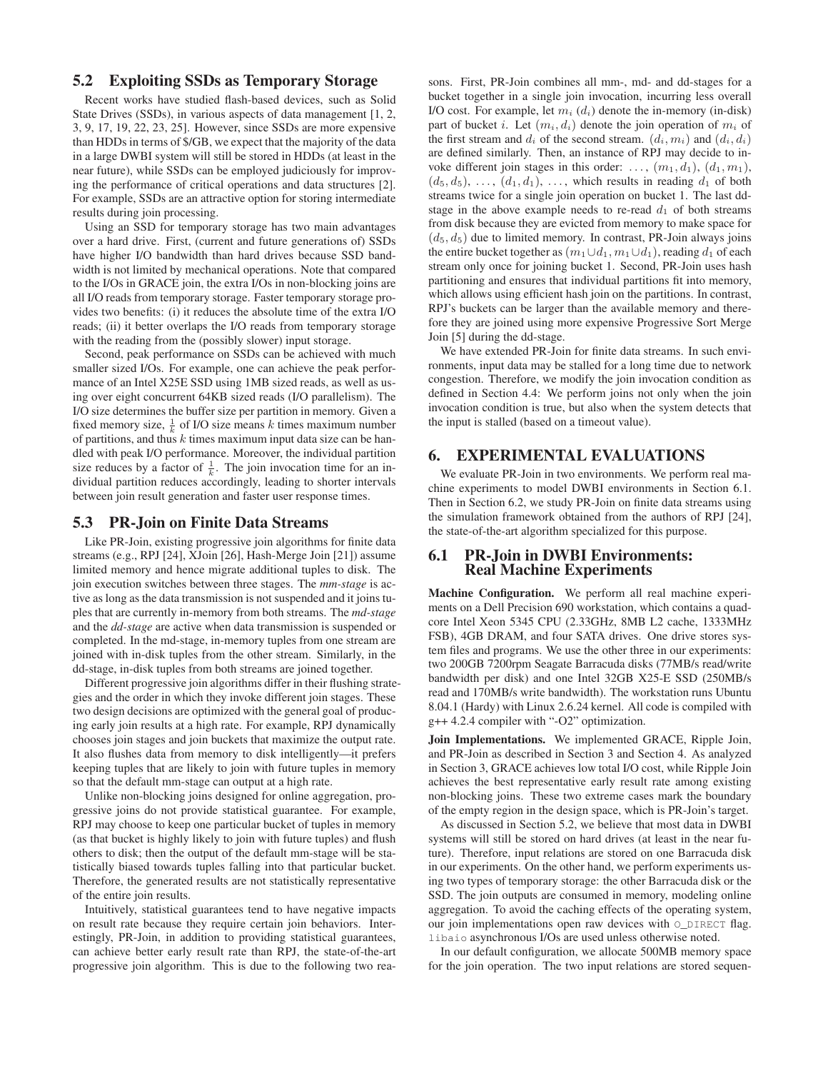# **5.2 Exploiting SSDs as Temporary Storage**

Recent works have studied flash-based devices, such as Solid State Drives (SSDs), in various aspects of data management [1, 2, 3, 9, 17, 19, 22, 23, 25]. However, since SSDs are more expensive than HDDs in terms of \$/GB, we expect that the majority of the data in a large DWBI system will still be stored in HDDs (at least in the near future), while SSDs can be employed judiciously for improving the performance of critical operations and data structures [2]. For example, SSDs are an attractive option for storing intermediate results during join processing.

Using an SSD for temporary storage has two main advantages over a hard drive. First, (current and future generations of) SSDs have higher I/O bandwidth than hard drives because SSD bandwidth is not limited by mechanical operations. Note that compared to the I/Os in GRACE join, the extra I/Os in non-blocking joins are all I/O reads from temporary storage. Faster temporary storage provides two benefits: (i) it reduces the absolute time of the extra I/O reads; (ii) it better overlaps the I/O reads from temporary storage with the reading from the (possibly slower) input storage.

Second, peak performance on SSDs can be achieved with much smaller sized I/Os. For example, one can achieve the peak performance of an Intel X25E SSD using 1MB sized reads, as well as using over eight concurrent 64KB sized reads (I/O parallelism). The I/O size determines the buffer size per partition in memory. Given a fixed memory size,  $\frac{1}{k}$  of I/O size means k times maximum number of partitions, and thus  $k$  times maximum input data size can be handled with peak I/O performance. Moreover, the individual partition size reduces by a factor of  $\frac{1}{k}$ . The join invocation time for an individual partition reduces accordingly, leading to shorter intervals between join result generation and faster user response times.

# **5.3 PR-Join on Finite Data Streams**

Like PR-Join, existing progressive join algorithms for finite data streams (e.g., RPJ [24], XJoin [26], Hash-Merge Join [21]) assume limited memory and hence migrate additional tuples to disk. The join execution switches between three stages. The *mm-stage* is active as long as the data transmission is not suspended and it joins tuples that are currently in-memory from both streams. The *md-stage* and the *dd-stage* are active when data transmission is suspended or completed. In the md-stage, in-memory tuples from one stream are joined with in-disk tuples from the other stream. Similarly, in the dd-stage, in-disk tuples from both streams are joined together.

Different progressive join algorithms differ in their flushing strategies and the order in which they invoke different join stages. These two design decisions are optimized with the general goal of producing early join results at a high rate. For example, RPJ dynamically chooses join stages and join buckets that maximize the output rate. It also flushes data from memory to disk intelligently—it prefers keeping tuples that are likely to join with future tuples in memory so that the default mm-stage can output at a high rate.

Unlike non-blocking joins designed for online aggregation, progressive joins do not provide statistical guarantee. For example, RPJ may choose to keep one particular bucket of tuples in memory (as that bucket is highly likely to join with future tuples) and flush others to disk; then the output of the default mm-stage will be statistically biased towards tuples falling into that particular bucket. Therefore, the generated results are not statistically representative of the entire join results.

Intuitively, statistical guarantees tend to have negative impacts on result rate because they require certain join behaviors. Interestingly, PR-Join, in addition to providing statistical guarantees, can achieve better early result rate than RPJ, the state-of-the-art progressive join algorithm. This is due to the following two reasons. First, PR-Join combines all mm-, md- and dd-stages for a bucket together in a single join invocation, incurring less overall I/O cost. For example, let  $m_i$  ( $d_i$ ) denote the in-memory (in-disk) part of bucket i. Let  $(m_i, d_i)$  denote the join operation of  $m_i$  of the first stream and  $d_i$  of the second stream.  $(d_i, m_i)$  and  $(d_i, d_i)$ are defined similarly. Then, an instance of RPJ may decide to invoke different join stages in this order: ...,  $(m_1, d_1)$ ,  $(d_1, m_1)$ ,  $(d_5, d_5), \ldots, (d_1, d_1), \ldots$ , which results in reading  $d_1$  of both streams twice for a single join operation on bucket 1. The last ddstage in the above example needs to re-read  $d_1$  of both streams from disk because they are evicted from memory to make space for  $(d_5, d_5)$  due to limited memory. In contrast, PR-Join always joins the entire bucket together as  $(m_1 \cup d_1, m_1 \cup d_1)$ , reading  $d_1$  of each stream only once for joining bucket 1. Second, PR-Join uses hash partitioning and ensures that individual partitions fit into memory, which allows using efficient hash join on the partitions. In contrast, RPJ's buckets can be larger than the available memory and therefore they are joined using more expensive Progressive Sort Merge Join [5] during the dd-stage.

We have extended PR-Join for finite data streams. In such environments, input data may be stalled for a long time due to network congestion. Therefore, we modify the join invocation condition as defined in Section 4.4: We perform joins not only when the join invocation condition is true, but also when the system detects that the input is stalled (based on a timeout value).

## **6. EXPERIMENTAL EVALUATIONS**

We evaluate PR-Join in two environments. We perform real machine experiments to model DWBI environments in Section 6.1. Then in Section 6.2, we study PR-Join on finite data streams using the simulation framework obtained from the authors of RPJ [24], the state-of-the-art algorithm specialized for this purpose.

### **6.1 PR-Join in DWBI Environments: Real Machine Experiments**

**Machine Configuration.** We perform all real machine experiments on a Dell Precision 690 workstation, which contains a quadcore Intel Xeon 5345 CPU (2.33GHz, 8MB L2 cache, 1333MHz FSB), 4GB DRAM, and four SATA drives. One drive stores system files and programs. We use the other three in our experiments: two 200GB 7200rpm Seagate Barracuda disks (77MB/s read/write bandwidth per disk) and one Intel 32GB X25-E SSD (250MB/s read and 170MB/s write bandwidth). The workstation runs Ubuntu 8.04.1 (Hardy) with Linux 2.6.24 kernel. All code is compiled with g++ 4.2.4 compiler with "-O2" optimization.

**Join Implementations.** We implemented GRACE, Ripple Join, and PR-Join as described in Section 3 and Section 4. As analyzed in Section 3, GRACE achieves low total I/O cost, while Ripple Join achieves the best representative early result rate among existing non-blocking joins. These two extreme cases mark the boundary of the empty region in the design space, which is PR-Join's target.

As discussed in Section 5.2, we believe that most data in DWBI systems will still be stored on hard drives (at least in the near future). Therefore, input relations are stored on one Barracuda disk in our experiments. On the other hand, we perform experiments using two types of temporary storage: the other Barracuda disk or the SSD. The join outputs are consumed in memory, modeling online aggregation. To avoid the caching effects of the operating system, our join implementations open raw devices with  $O$ \_DIRECT flag. libaio asynchronous I/Os are used unless otherwise noted.

In our default configuration, we allocate 500MB memory space for the join operation. The two input relations are stored sequen-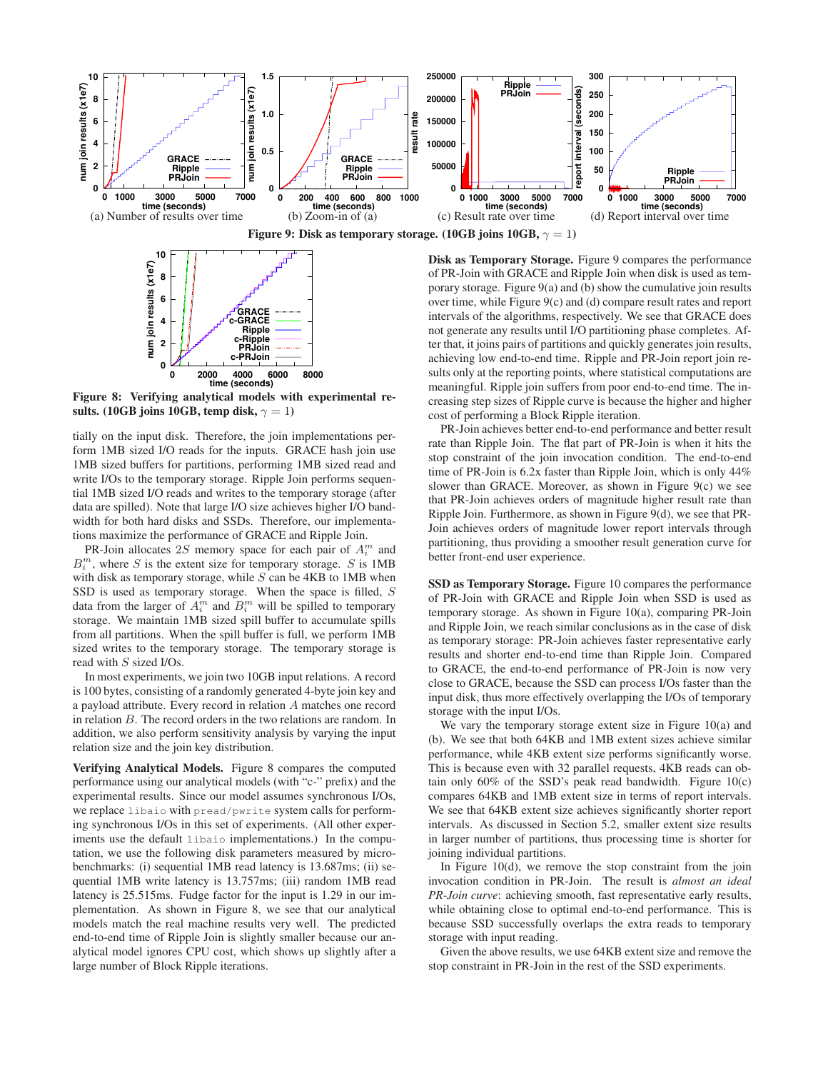



**Figure 8: Verifying analytical models with experimental results.** (10GB joins 10GB, temp disk,  $\gamma = 1$ )

tially on the input disk. Therefore, the join implementations perform 1MB sized I/O reads for the inputs. GRACE hash join use 1MB sized buffers for partitions, performing 1MB sized read and write I/Os to the temporary storage. Ripple Join performs sequential 1MB sized I/O reads and writes to the temporary storage (after data are spilled). Note that large I/O size achieves higher I/O bandwidth for both hard disks and SSDs. Therefore, our implementations maximize the performance of GRACE and Ripple Join.

PR-Join allocates 2S memory space for each pair of  $A_i^m$  and  $B_i^m$ , where S is the extent size for temporary storage. S is 1MB with disk as temporary storage, while  $S$  can be  $4KB$  to  $1MB$  when SSD is used as temporary storage. When the space is filled, S data from the larger of  $A_i^m$  and  $B_i^m$  will be spilled to temporary storage. We maintain 1MB sized spill buffer to accumulate spills from all partitions. When the spill buffer is full, we perform 1MB sized writes to the temporary storage. The temporary storage is read with S sized I/Os.

In most experiments, we join two 10GB input relations. A record is 100 bytes, consisting of a randomly generated 4-byte join key and a payload attribute. Every record in relation A matches one record in relation B. The record orders in the two relations are random. In addition, we also perform sensitivity analysis by varying the input relation size and the join key distribution.

**Verifying Analytical Models.** Figure 8 compares the computed performance using our analytical models (with "c-" prefix) and the experimental results. Since our model assumes synchronous I/Os, we replace libaio with pread/pwrite system calls for performing synchronous I/Os in this set of experiments. (All other experiments use the default libaio implementations.) In the computation, we use the following disk parameters measured by microbenchmarks: (i) sequential 1MB read latency is 13.687ms; (ii) sequential 1MB write latency is 13.757ms; (iii) random 1MB read latency is 25.515ms. Fudge factor for the input is 1.29 in our implementation. As shown in Figure 8, we see that our analytical models match the real machine results very well. The predicted end-to-end time of Ripple Join is slightly smaller because our analytical model ignores CPU cost, which shows up slightly after a large number of Block Ripple iterations.

**Disk as Temporary Storage.** Figure 9 compares the performance of PR-Join with GRACE and Ripple Join when disk is used as temporary storage. Figure 9(a) and (b) show the cumulative join results over time, while Figure 9(c) and (d) compare result rates and report intervals of the algorithms, respectively. We see that GRACE does not generate any results until I/O partitioning phase completes. After that, it joins pairs of partitions and quickly generates join results, achieving low end-to-end time. Ripple and PR-Join report join results only at the reporting points, where statistical computations are meaningful. Ripple join suffers from poor end-to-end time. The increasing step sizes of Ripple curve is because the higher and higher cost of performing a Block Ripple iteration.

PR-Join achieves better end-to-end performance and better result rate than Ripple Join. The flat part of PR-Join is when it hits the stop constraint of the join invocation condition. The end-to-end time of PR-Join is 6.2x faster than Ripple Join, which is only 44% slower than GRACE. Moreover, as shown in Figure  $9(c)$  we see that PR-Join achieves orders of magnitude higher result rate than Ripple Join. Furthermore, as shown in Figure 9(d), we see that PR-Join achieves orders of magnitude lower report intervals through partitioning, thus providing a smoother result generation curve for better front-end user experience.

**SSD as Temporary Storage.** Figure 10 compares the performance of PR-Join with GRACE and Ripple Join when SSD is used as temporary storage. As shown in Figure 10(a), comparing PR-Join and Ripple Join, we reach similar conclusions as in the case of disk as temporary storage: PR-Join achieves faster representative early results and shorter end-to-end time than Ripple Join. Compared to GRACE, the end-to-end performance of PR-Join is now very close to GRACE, because the SSD can process I/Os faster than the input disk, thus more effectively overlapping the I/Os of temporary storage with the input I/Os.

We vary the temporary storage extent size in Figure 10(a) and (b). We see that both 64KB and 1MB extent sizes achieve similar performance, while 4KB extent size performs significantly worse. This is because even with 32 parallel requests, 4KB reads can obtain only 60% of the SSD's peak read bandwidth. Figure 10(c) compares 64KB and 1MB extent size in terms of report intervals. We see that 64KB extent size achieves significantly shorter report intervals. As discussed in Section 5.2, smaller extent size results in larger number of partitions, thus processing time is shorter for joining individual partitions.

In Figure  $10(d)$ , we remove the stop constraint from the join invocation condition in PR-Join. The result is *almost an ideal PR-Join curve*: achieving smooth, fast representative early results, while obtaining close to optimal end-to-end performance. This is because SSD successfully overlaps the extra reads to temporary storage with input reading.

Given the above results, we use 64KB extent size and remove the stop constraint in PR-Join in the rest of the SSD experiments.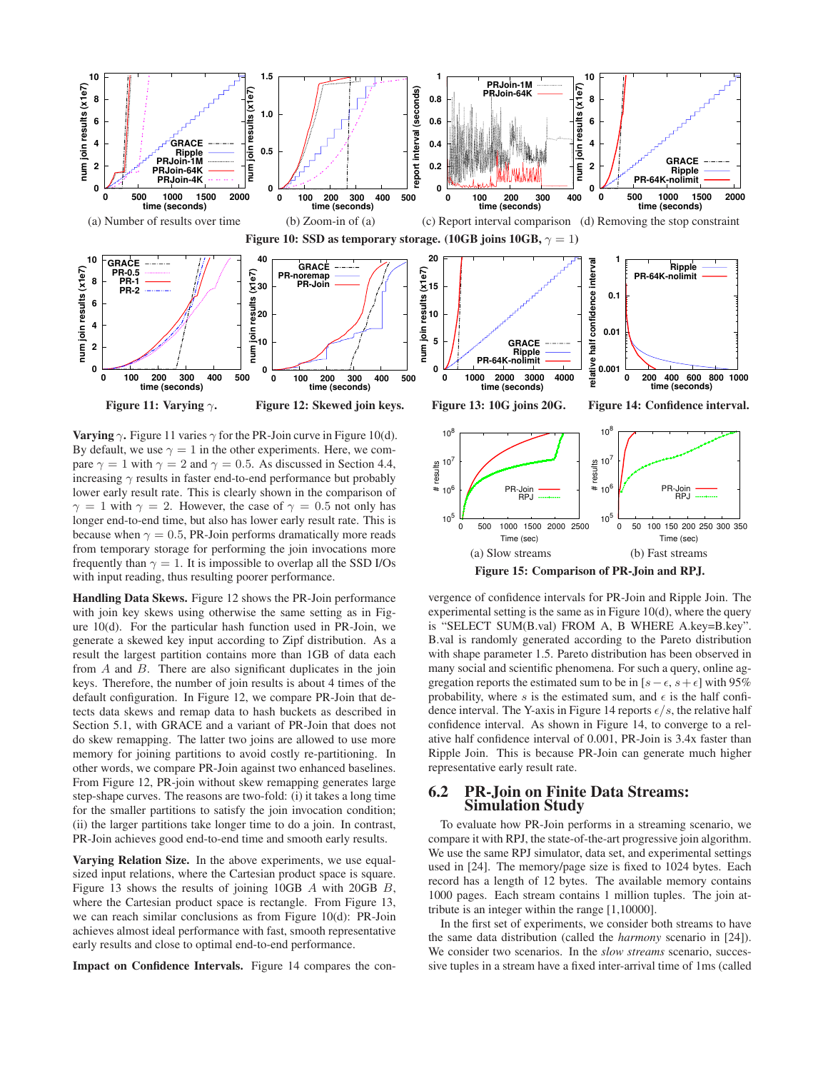

10<sup>5</sup> 10<sup>6</sup>  $\frac{10}{100}$ <br> $\frac{10}{100}$ 

 0 500 1000 1500 2000 2500 Time (sec)

PR-Join RPJ

**Varying**  $\gamma$ . Figure 11 varies  $\gamma$  for the PR-Join curve in Figure 10(d). By default, we use  $\gamma = 1$  in the other experiments. Here, we compare  $\gamma = 1$  with  $\gamma = 2$  and  $\gamma = 0.5$ . As discussed in Section 4.4, increasing  $\gamma$  results in faster end-to-end performance but probably lower early result rate. This is clearly shown in the comparison of  $\gamma = 1$  with  $\gamma = 2$ . However, the case of  $\gamma = 0.5$  not only has longer end-to-end time, but also has lower early result rate. This is because when  $\gamma = 0.5$ , PR-Join performs dramatically more reads from temporary storage for performing the join invocations more frequently than  $\gamma = 1$ . It is impossible to overlap all the SSD I/Os with input reading, thus resulting poorer performance.

**Handling Data Skews.** Figure 12 shows the PR-Join performance with join key skews using otherwise the same setting as in Figure 10(d). For the particular hash function used in PR-Join, we generate a skewed key input according to Zipf distribution. As a result the largest partition contains more than 1GB of data each from A and B. There are also significant duplicates in the join keys. Therefore, the number of join results is about 4 times of the default configuration. In Figure 12, we compare PR-Join that detects data skews and remap data to hash buckets as described in Section 5.1, with GRACE and a variant of PR-Join that does not do skew remapping. The latter two joins are allowed to use more memory for joining partitions to avoid costly re-partitioning. In other words, we compare PR-Join against two enhanced baselines. From Figure 12, PR-join without skew remapping generates large step-shape curves. The reasons are two-fold: (i) it takes a long time for the smaller partitions to satisfy the join invocation condition; (ii) the larger partitions take longer time to do a join. In contrast, PR-Join achieves good end-to-end time and smooth early results.

**Varying Relation Size.** In the above experiments, we use equalsized input relations, where the Cartesian product space is square. Figure 13 shows the results of joining 10GB A with 20GB B, where the Cartesian product space is rectangle. From Figure 13, we can reach similar conclusions as from Figure 10(d): PR-Join achieves almost ideal performance with fast, smooth representative early results and close to optimal end-to-end performance.

**Impact on Confidence Intervals.** Figure 14 compares the con-

vergence of confidence intervals for PR-Join and Ripple Join. The experimental setting is the same as in Figure  $10(d)$ , where the query is "SELECT SUM(B.val) FROM A, B WHERE A.key=B.key". B.val is randomly generated according to the Pareto distribution with shape parameter 1.5. Pareto distribution has been observed in many social and scientific phenomena. For such a query, online aggregation reports the estimated sum to be in  $[s - \epsilon, s + \epsilon]$  with 95% probability, where s is the estimated sum, and  $\epsilon$  is the half confidence interval. The Y-axis in Figure 14 reports  $\epsilon/s$ , the relative half confidence interval. As shown in Figure 14, to converge to a relative half confidence interval of 0.001, PR-Join is 3.4x faster than Ripple Join. This is because PR-Join can generate much higher representative early result rate.

10<sup>5</sup>

(a) Slow streams (b) Fast streams **Figure 15: Comparison of PR-Join and RPJ.**

 0 50 100 150 200 250 300 350 Time (sec)

PR-Join RPJ

 $10^6$  $\frac{25}{100}$ <br> $\frac{10^7}{10^6}$ 

# **6.2 PR-Join on Finite Data Streams: Simulation Study**

To evaluate how PR-Join performs in a streaming scenario, we compare it with RPJ, the state-of-the-art progressive join algorithm. We use the same RPJ simulator, data set, and experimental settings used in [24]. The memory/page size is fixed to 1024 bytes. Each record has a length of 12 bytes. The available memory contains 1000 pages. Each stream contains 1 million tuples. The join attribute is an integer within the range [1,10000].

In the first set of experiments, we consider both streams to have the same data distribution (called the *harmony* scenario in [24]). We consider two scenarios. In the *slow streams* scenario, successive tuples in a stream have a fixed inter-arrival time of 1ms (called